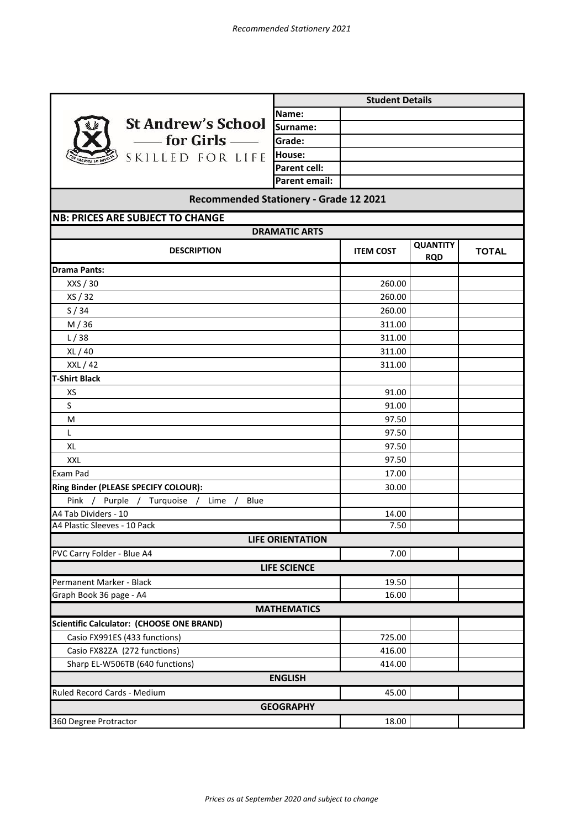ī

Ť.

|                                           | <b>Student Details</b>  |                  |                               |              |  |
|-------------------------------------------|-------------------------|------------------|-------------------------------|--------------|--|
|                                           | Name:                   |                  |                               |              |  |
| <b>St Andrew's School</b>                 | Surname:                |                  |                               |              |  |
| - for Girls $-\!\!=$                      | Grade:                  |                  |                               |              |  |
| SKILLED FOR LIFE                          | House:                  |                  |                               |              |  |
|                                           | <b>Parent cell:</b>     |                  |                               |              |  |
|                                           | <b>Parent email:</b>    |                  |                               |              |  |
| Recommended Stationery - Grade 12 2021    |                         |                  |                               |              |  |
| <b>NB: PRICES ARE SUBJECT TO CHANGE</b>   |                         |                  |                               |              |  |
| <b>DRAMATIC ARTS</b>                      |                         |                  |                               |              |  |
| <b>DESCRIPTION</b>                        |                         | <b>ITEM COST</b> | <b>QUANTITY</b><br><b>RQD</b> | <b>TOTAL</b> |  |
| <b>Drama Pants:</b>                       |                         |                  |                               |              |  |
| XXS / 30                                  |                         | 260.00           |                               |              |  |
| XS / 32                                   |                         | 260.00           |                               |              |  |
| S/34                                      |                         | 260.00           |                               |              |  |
| M/36                                      |                         | 311.00           |                               |              |  |
| L/38                                      |                         | 311.00           |                               |              |  |
| XL / 40                                   |                         | 311.00           |                               |              |  |
| XXL / 42                                  |                         | 311.00           |                               |              |  |
| <b>T-Shirt Black</b>                      |                         |                  |                               |              |  |
| XS                                        |                         | 91.00            |                               |              |  |
| S                                         |                         | 91.00            |                               |              |  |
| M                                         |                         | 97.50            |                               |              |  |
| L                                         |                         | 97.50            |                               |              |  |
| <b>XL</b>                                 |                         | 97.50            |                               |              |  |
| <b>XXL</b>                                |                         | 97.50            |                               |              |  |
| Exam Pad                                  |                         | 17.00            |                               |              |  |
| Ring Binder (PLEASE SPECIFY COLOUR):      |                         | 30.00            |                               |              |  |
| Pink / Purple / Turquoise / Lime<br>Blue  |                         |                  |                               |              |  |
| A4 Tab Dividers - 10                      |                         | 14.00            |                               |              |  |
| A4 Plastic Sleeves - 10 Pack              |                         | 7.50             |                               |              |  |
|                                           | <b>LIFE ORIENTATION</b> |                  |                               |              |  |
| PVC Carry Folder - Blue A4                |                         | 7.00             |                               |              |  |
|                                           | <b>LIFE SCIENCE</b>     |                  |                               |              |  |
| Permanent Marker - Black                  |                         | 19.50            |                               |              |  |
| Graph Book 36 page - A4                   |                         | 16.00            |                               |              |  |
|                                           | <b>MATHEMATICS</b>      |                  |                               |              |  |
| Scientific Calculator: (CHOOSE ONE BRAND) |                         |                  |                               |              |  |
| Casio FX991ES (433 functions)             |                         | 725.00           |                               |              |  |
| Casio FX82ZA (272 functions)              |                         | 416.00           |                               |              |  |
| Sharp EL-W506TB (640 functions)           |                         | 414.00           |                               |              |  |
|                                           | <b>ENGLISH</b>          |                  |                               |              |  |
| Ruled Record Cards - Medium               |                         | 45.00            |                               |              |  |
| <b>GEOGRAPHY</b>                          |                         |                  |                               |              |  |
| 360 Degree Protractor                     |                         | 18.00            |                               |              |  |
|                                           |                         |                  |                               |              |  |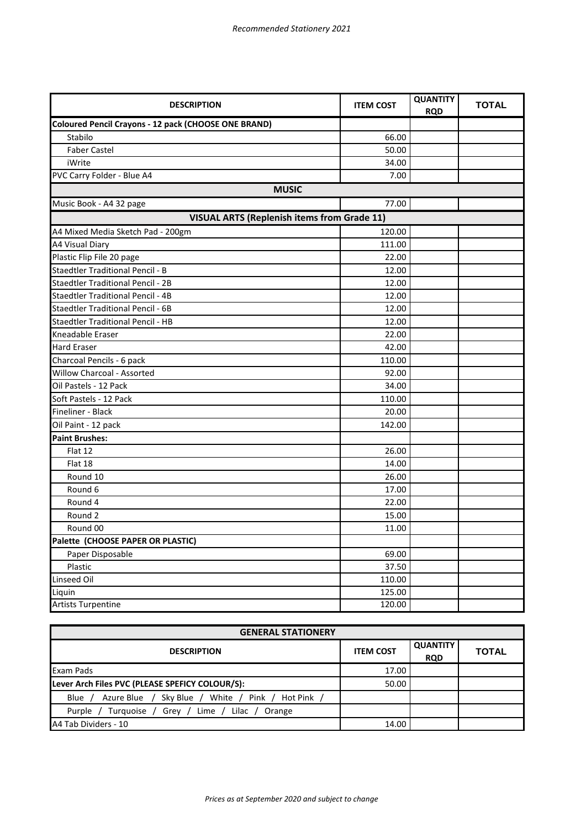| <b>DESCRIPTION</b>                                   | <b>ITEM COST</b> | <b>QUANTITY</b><br><b>RQD</b> | <b>TOTAL</b> |  |  |
|------------------------------------------------------|------------------|-------------------------------|--------------|--|--|
| Coloured Pencil Crayons - 12 pack (CHOOSE ONE BRAND) |                  |                               |              |  |  |
| Stabilo                                              | 66.00            |                               |              |  |  |
| <b>Faber Castel</b>                                  | 50.00            |                               |              |  |  |
| iWrite                                               | 34.00            |                               |              |  |  |
| PVC Carry Folder - Blue A4                           | 7.00             |                               |              |  |  |
| <b>MUSIC</b>                                         |                  |                               |              |  |  |
| Music Book - A4 32 page                              | 77.00            |                               |              |  |  |
| <b>VISUAL ARTS (Replenish items from Grade 11)</b>   |                  |                               |              |  |  |
| A4 Mixed Media Sketch Pad - 200gm                    | 120.00           |                               |              |  |  |
| <b>A4 Visual Diary</b>                               | 111.00           |                               |              |  |  |
| Plastic Flip File 20 page                            | 22.00            |                               |              |  |  |
| <b>Staedtler Traditional Pencil - B</b>              | 12.00            |                               |              |  |  |
| Staedtler Traditional Pencil - 2B                    | 12.00            |                               |              |  |  |
| <b>Staedtler Traditional Pencil - 4B</b>             | 12.00            |                               |              |  |  |
| <b>Staedtler Traditional Pencil - 6B</b>             | 12.00            |                               |              |  |  |
| <b>Staedtler Traditional Pencil - HB</b>             | 12.00            |                               |              |  |  |
| Kneadable Eraser                                     | 22.00            |                               |              |  |  |
| <b>Hard Eraser</b>                                   | 42.00            |                               |              |  |  |
| Charcoal Pencils - 6 pack                            | 110.00           |                               |              |  |  |
| Willow Charcoal - Assorted                           | 92.00            |                               |              |  |  |
| Oil Pastels - 12 Pack                                | 34.00            |                               |              |  |  |
| Soft Pastels - 12 Pack                               | 110.00           |                               |              |  |  |
| Fineliner - Black                                    | 20.00            |                               |              |  |  |
| Oil Paint - 12 pack                                  | 142.00           |                               |              |  |  |
| <b>Paint Brushes:</b>                                |                  |                               |              |  |  |
| Flat 12                                              | 26.00            |                               |              |  |  |
| Flat 18                                              | 14.00            |                               |              |  |  |
| Round 10                                             | 26.00            |                               |              |  |  |
| Round 6                                              | 17.00            |                               |              |  |  |
| Round 4                                              | 22.00            |                               |              |  |  |
| Round 2                                              | 15.00            |                               |              |  |  |
| Round 00                                             | 11.00            |                               |              |  |  |
| Palette (CHOOSE PAPER OR PLASTIC)                    |                  |                               |              |  |  |
| Paper Disposable                                     | 69.00            |                               |              |  |  |
| Plastic                                              | 37.50            |                               |              |  |  |
| Linseed Oil                                          | 110.00           |                               |              |  |  |
| Liquin                                               | 125.00           |                               |              |  |  |
| <b>Artists Turpentine</b>                            | 120.00           |                               |              |  |  |

| <b>GENERAL STATIONERY</b>                                                   |                  |                               |              |  |
|-----------------------------------------------------------------------------|------------------|-------------------------------|--------------|--|
| <b>DESCRIPTION</b>                                                          | <b>ITEM COST</b> | <b>QUANTITY</b><br><b>RQD</b> | <b>TOTAL</b> |  |
| Exam Pads                                                                   | 17.00            |                               |              |  |
| Lever Arch Files PVC (PLEASE SPEFICY COLOUR/S):                             | 50.00            |                               |              |  |
| / White<br>Pink /<br>Hot Pink<br>Blue<br>Sky Blue<br>Azure Blue             |                  |                               |              |  |
| Lime $/$<br>Grey / $\sqrt{2}$<br>Turquoise /<br>Lilac /<br>Purple<br>Orange |                  |                               |              |  |
| A4 Tab Dividers - 10                                                        | 14.00            |                               |              |  |